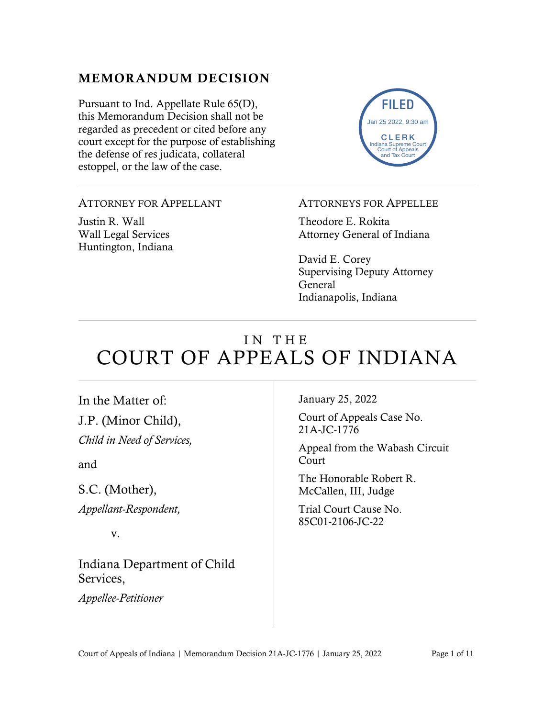### MEMORANDUM DECISION

Pursuant to Ind. Appellate Rule 65(D), this Memorandum Decision shall not be regarded as precedent or cited before any court except for the purpose of establishing the defense of res judicata, collateral estoppel, or the law of the case.



#### ATTORNEY FOR APPELLANT

Justin R. Wall Wall Legal Services Huntington, Indiana

#### ATTORNEYS FOR APPELLEE

Theodore E. Rokita Attorney General of Indiana

David E. Corey Supervising Deputy Attorney General Indianapolis, Indiana

# IN THE COURT OF APPEALS OF INDIANA

In the Matter of: J.P. (Minor Child), *Child in Need of Services,*

and

S.C. (Mother), *Appellant-Respondent,*

v.

Indiana Department of Child Services,

*Appellee-Petitioner*

January 25, 2022

Court of Appeals Case No. 21A-JC-1776

Appeal from the Wabash Circuit Court

The Honorable Robert R. McCallen, III, Judge

Trial Court Cause No. 85C01-2106-JC-22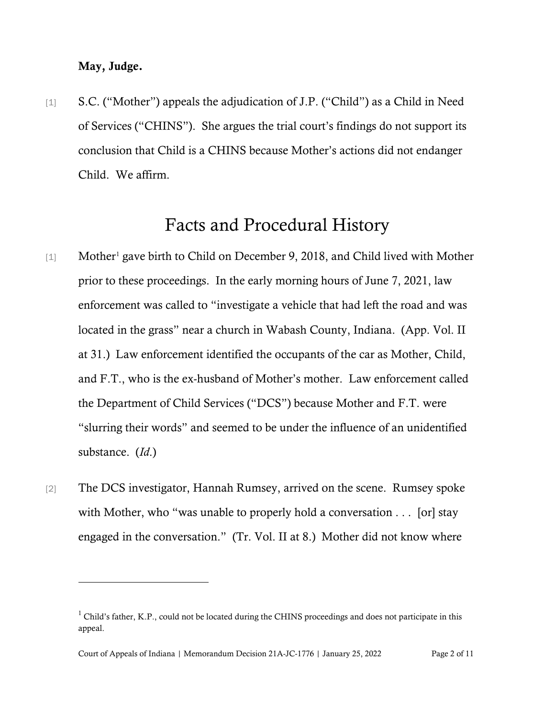#### May, Judge.

[1] S.C. ("Mother") appeals the adjudication of J.P. ("Child") as a Child in Need of Services ("CHINS"). She argues the trial court's findings do not support its conclusion that Child is a CHINS because Mother's actions did not endanger Child. We affirm.

### Facts and Procedural History

- [[1](#page-1-0)] Mother<sup>1</sup> gave birth to Child on December 9, 2018, and Child lived with Mother prior to these proceedings. In the early morning hours of June 7, 2021, law enforcement was called to "investigate a vehicle that had left the road and was located in the grass" near a church in Wabash County, Indiana. (App. Vol. II at 31.) Law enforcement identified the occupants of the car as Mother, Child, and F.T., who is the ex-husband of Mother's mother. Law enforcement called the Department of Child Services ("DCS") because Mother and F.T. were "slurring their words" and seemed to be under the influence of an unidentified substance. (*Id*.)
- [2] The DCS investigator, Hannah Rumsey, arrived on the scene. Rumsey spoke with Mother, who "was unable to properly hold a conversation . . . [or] stay engaged in the conversation." (Tr. Vol. II at 8.) Mother did not know where

<span id="page-1-0"></span> $1$  Child's father, K.P., could not be located during the CHINS proceedings and does not participate in this appeal.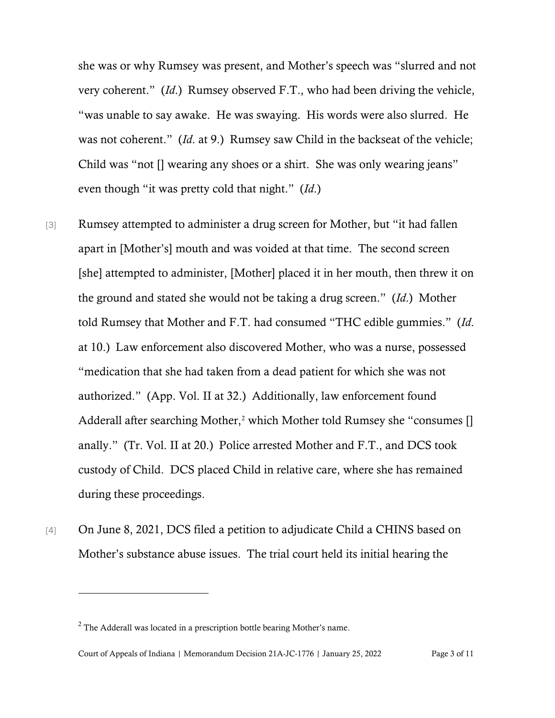she was or why Rumsey was present, and Mother's speech was "slurred and not very coherent." (*Id*.) Rumsey observed F.T., who had been driving the vehicle, "was unable to say awake. He was swaying. His words were also slurred. He was not coherent." (*Id*. at 9.) Rumsey saw Child in the backseat of the vehicle; Child was "not [] wearing any shoes or a shirt. She was only wearing jeans" even though "it was pretty cold that night." (*Id*.)

- [3] Rumsey attempted to administer a drug screen for Mother, but "it had fallen apart in [Mother's] mouth and was voided at that time. The second screen [she] attempted to administer, [Mother] placed it in her mouth, then threw it on the ground and stated she would not be taking a drug screen." (*Id*.) Mother told Rumsey that Mother and F.T. had consumed "THC edible gummies." (*Id*. at 10.) Law enforcement also discovered Mother, who was a nurse, possessed "medication that she had taken from a dead patient for which she was not authorized." (App. Vol. II at 32.) Additionally, law enforcement found Adderall after searching Mother, [2](#page-2-0) which Mother told Rumsey she "consumes [] anally." (Tr. Vol. II at 20.) Police arrested Mother and F.T., and DCS took custody of Child. DCS placed Child in relative care, where she has remained during these proceedings.
- [4] On June 8, 2021, DCS filed a petition to adjudicate Child a CHINS based on Mother's substance abuse issues. The trial court held its initial hearing the

<span id="page-2-0"></span> $2$  The Adderall was located in a prescription bottle bearing Mother's name.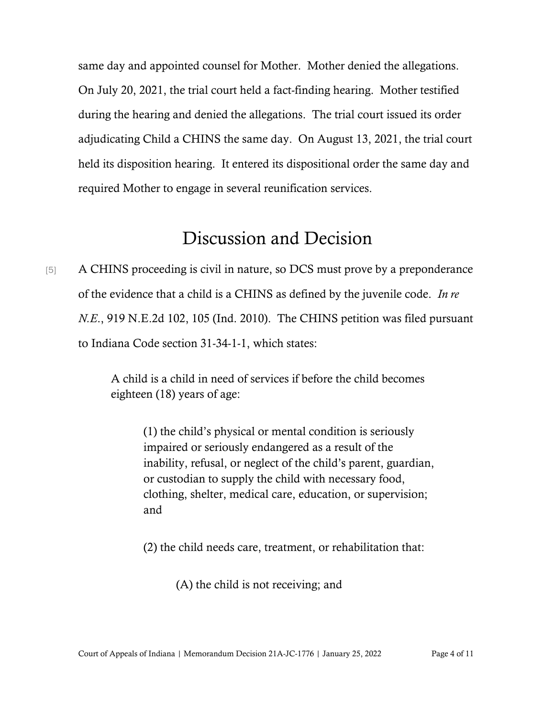same day and appointed counsel for Mother. Mother denied the allegations. On July 20, 2021, the trial court held a fact-finding hearing. Mother testified during the hearing and denied the allegations. The trial court issued its order adjudicating Child a CHINS the same day. On August 13, 2021, the trial court held its disposition hearing. It entered its dispositional order the same day and required Mother to engage in several reunification services.

### Discussion and Decision

[5] A CHINS proceeding is civil in nature, so DCS must prove by a preponderance of the evidence that a child is a CHINS as defined by the juvenile code. *In re N.E*., 919 N.E.2d 102, 105 (Ind. 2010). The CHINS petition was filed pursuant to Indiana Code section 31-34-1-1, which states:

> A child is a child in need of services if before the child becomes eighteen (18) years of age:

> > (1) the child's physical or mental condition is seriously impaired or seriously endangered as a result of the inability, refusal, or neglect of the child's parent, guardian, or custodian to supply the child with necessary food, clothing, shelter, medical care, education, or supervision; and

(2) the child needs care, treatment, or rehabilitation that:

(A) the child is not receiving; and

Court of Appeals of Indiana | Memorandum Decision 21A-JC-1776 | January 25, 2022 Page 4 of 11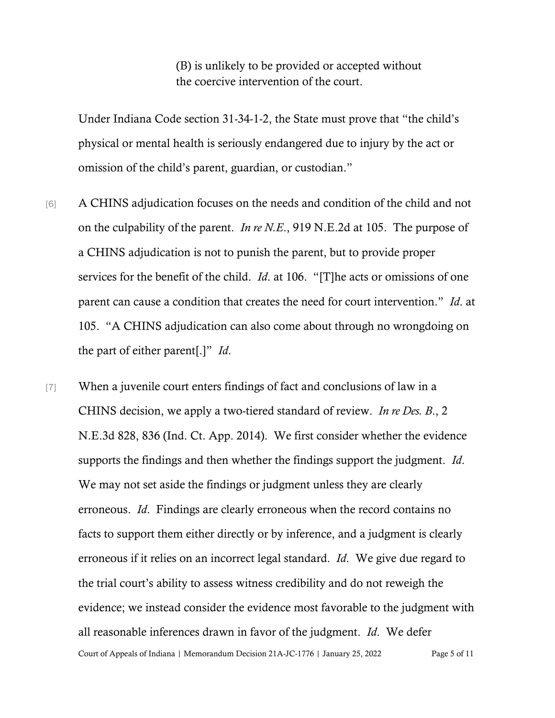(B) is unlikely to be provided or accepted without the coercive intervention of the court.

Under Indiana Code section 31-34-1-2, the State must prove that "the child's physical or mental health is seriously endangered due to injury by the act or omission of the child's parent, guardian, or custodian."

- [6] A CHINS adjudication focuses on the needs and condition of the child and not on the culpability of the parent. *In re N.E*., 919 N.E.2d at 105. The purpose of a CHINS adjudication is not to punish the parent, but to provide proper services for the benefit of the child. *Id*. at 106. "[T]he acts or omissions of one parent can cause a condition that creates the need for court intervention." *Id*. at 105. "A CHINS adjudication can also come about through no wrongdoing on the part of either parent[.]" *Id*.
- Court of Appeals of Indiana | Memorandum Decision 21A-JC-1776 | January 25, 2022 Page 5 of 11 [7] When a juvenile court enters findings of fact and conclusions of law in a CHINS decision, we apply a two-tiered standard of review. *In re Des. B*., 2 N.E.3d 828, 836 (Ind. Ct. App. 2014). We first consider whether the evidence supports the findings and then whether the findings support the judgment. *Id*. We may not set aside the findings or judgment unless they are clearly erroneous. *Id*. Findings are clearly erroneous when the record contains no facts to support them either directly or by inference, and a judgment is clearly erroneous if it relies on an incorrect legal standard. *Id*. We give due regard to the trial court's ability to assess witness credibility and do not reweigh the evidence; we instead consider the evidence most favorable to the judgment with all reasonable inferences drawn in favor of the judgment. *Id*. We defer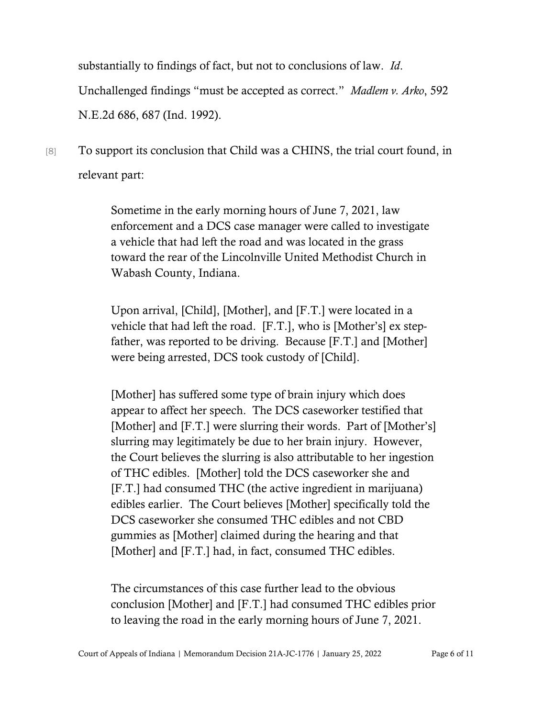substantially to findings of fact, but not to conclusions of law. *Id*. Unchallenged findings "must be accepted as correct." *Madlem v. Arko*, 592 N.E.2d 686, 687 (Ind. 1992).

## [8] To support its conclusion that Child was a CHINS, the trial court found, in relevant part:

Sometime in the early morning hours of June 7, 2021, law enforcement and a DCS case manager were called to investigate a vehicle that had left the road and was located in the grass toward the rear of the Lincolnville United Methodist Church in Wabash County, Indiana.

Upon arrival, [Child], [Mother], and [F.T.] were located in a vehicle that had left the road. [F.T.], who is [Mother's] ex stepfather, was reported to be driving. Because [F.T.] and [Mother] were being arrested, DCS took custody of [Child].

[Mother] has suffered some type of brain injury which does appear to affect her speech. The DCS caseworker testified that [Mother] and [F.T.] were slurring their words. Part of [Mother's] slurring may legitimately be due to her brain injury. However, the Court believes the slurring is also attributable to her ingestion of THC edibles. [Mother] told the DCS caseworker she and [F.T.] had consumed THC (the active ingredient in marijuana) edibles earlier. The Court believes [Mother] specifically told the DCS caseworker she consumed THC edibles and not CBD gummies as [Mother] claimed during the hearing and that [Mother] and [F.T.] had, in fact, consumed THC edibles.

The circumstances of this case further lead to the obvious conclusion [Mother] and [F.T.] had consumed THC edibles prior to leaving the road in the early morning hours of June 7, 2021.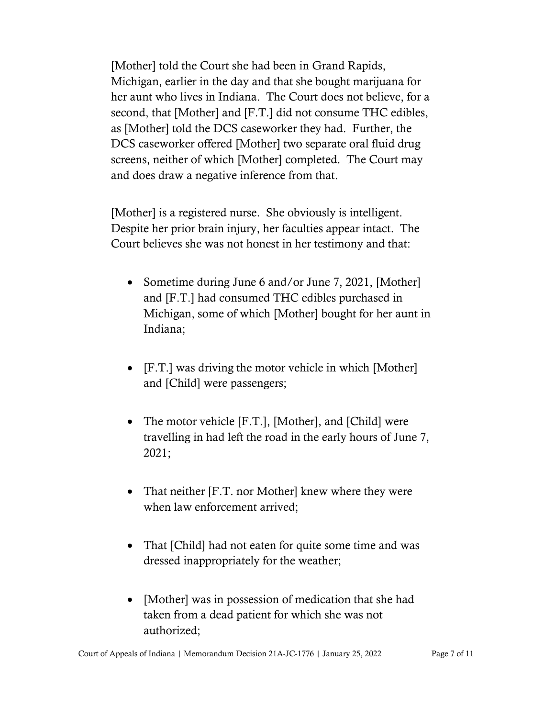[Mother] told the Court she had been in Grand Rapids, Michigan, earlier in the day and that she bought marijuana for her aunt who lives in Indiana. The Court does not believe, for a second, that [Mother] and [F.T.] did not consume THC edibles, as [Mother] told the DCS caseworker they had. Further, the DCS caseworker offered [Mother] two separate oral fluid drug screens, neither of which [Mother] completed. The Court may and does draw a negative inference from that.

[Mother] is a registered nurse. She obviously is intelligent. Despite her prior brain injury, her faculties appear intact. The Court believes she was not honest in her testimony and that:

- Sometime during June 6 and/or June 7, 2021, [Mother] and [F.T.] had consumed THC edibles purchased in Michigan, some of which [Mother] bought for her aunt in Indiana;
- [F.T.] was driving the motor vehicle in which [Mother] and [Child] were passengers;
- The motor vehicle [F.T.], [Mother], and [Child] were travelling in had left the road in the early hours of June 7, 2021;
- That neither [F.T. nor Mother] knew where they were when law enforcement arrived;
- That [Child] had not eaten for quite some time and was dressed inappropriately for the weather;
- [Mother] was in possession of medication that she had taken from a dead patient for which she was not authorized;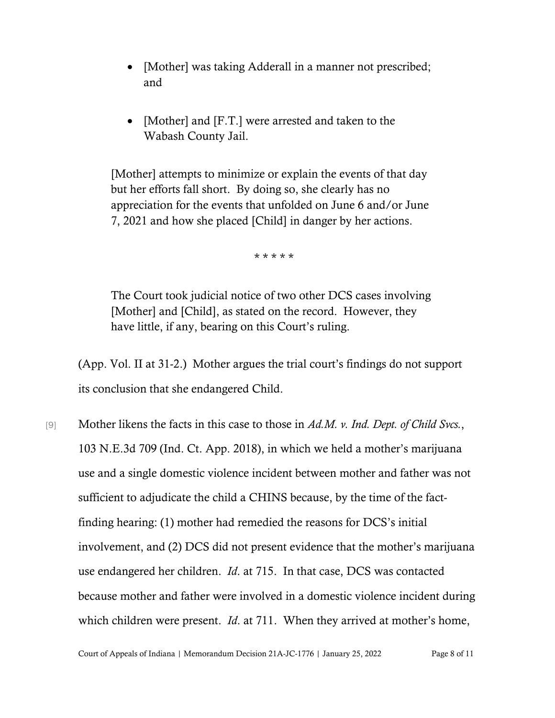- [Mother] was taking Adderall in a manner not prescribed; and
- [Mother] and [F.T.] were arrested and taken to the Wabash County Jail.

[Mother] attempts to minimize or explain the events of that day but her efforts fall short. By doing so, she clearly has no appreciation for the events that unfolded on June 6 and/or June 7, 2021 and how she placed [Child] in danger by her actions.

\* \* \* \* \*

The Court took judicial notice of two other DCS cases involving [Mother] and [Child], as stated on the record. However, they have little, if any, bearing on this Court's ruling.

(App. Vol. II at 31-2.) Mother argues the trial court's findings do not support its conclusion that she endangered Child.

[9] Mother likens the facts in this case to those in *Ad.M. v. Ind. Dept. of Child Svcs.*, 103 N.E.3d 709 (Ind. Ct. App. 2018), in which we held a mother's marijuana use and a single domestic violence incident between mother and father was not sufficient to adjudicate the child a CHINS because, by the time of the factfinding hearing: (1) mother had remedied the reasons for DCS's initial involvement, and (2) DCS did not present evidence that the mother's marijuana use endangered her children. *Id*. at 715. In that case, DCS was contacted because mother and father were involved in a domestic violence incident during which children were present. *Id*. at 711. When they arrived at mother's home,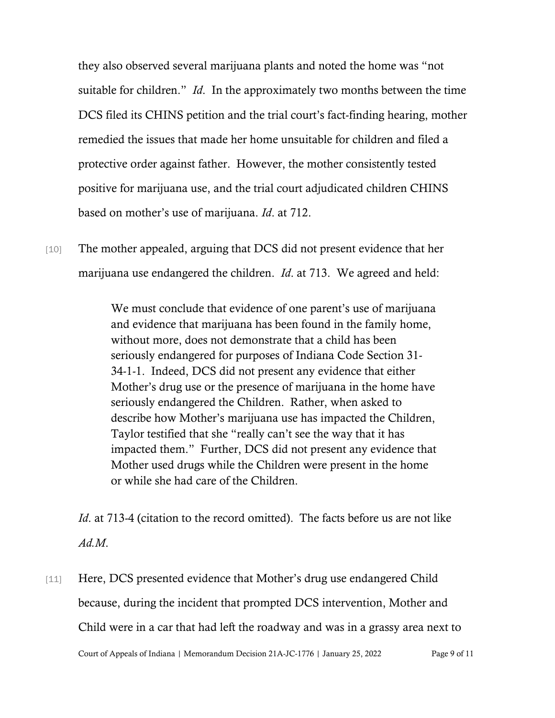they also observed several marijuana plants and noted the home was "not suitable for children." *Id*. In the approximately two months between the time DCS filed its CHINS petition and the trial court's fact-finding hearing, mother remedied the issues that made her home unsuitable for children and filed a protective order against father. However, the mother consistently tested positive for marijuana use, and the trial court adjudicated children CHINS based on mother's use of marijuana. *Id*. at 712.

[10] The mother appealed, arguing that DCS did not present evidence that her marijuana use endangered the children. *Id*. at 713. We agreed and held:

> We must conclude that evidence of one parent's use of marijuana and evidence that marijuana has been found in the family home, without more, does not demonstrate that a child has been seriously endangered for purposes of Indiana Code Section 31- 34-1-1. Indeed, DCS did not present any evidence that either Mother's drug use or the presence of marijuana in the home have seriously endangered the Children. Rather, when asked to describe how Mother's marijuana use has impacted the Children, Taylor testified that she "really can't see the way that it has impacted them." Further, DCS did not present any evidence that Mother used drugs while the Children were present in the home or while she had care of the Children.

*Id*. at 713-4 (citation to the record omitted). The facts before us are not like *Ad.M*.

[11] Here, DCS presented evidence that Mother's drug use endangered Child because, during the incident that prompted DCS intervention, Mother and Child were in a car that had left the roadway and was in a grassy area next to

Court of Appeals of Indiana | Memorandum Decision 21A-JC-1776 | January 25, 2022 Page 9 of 11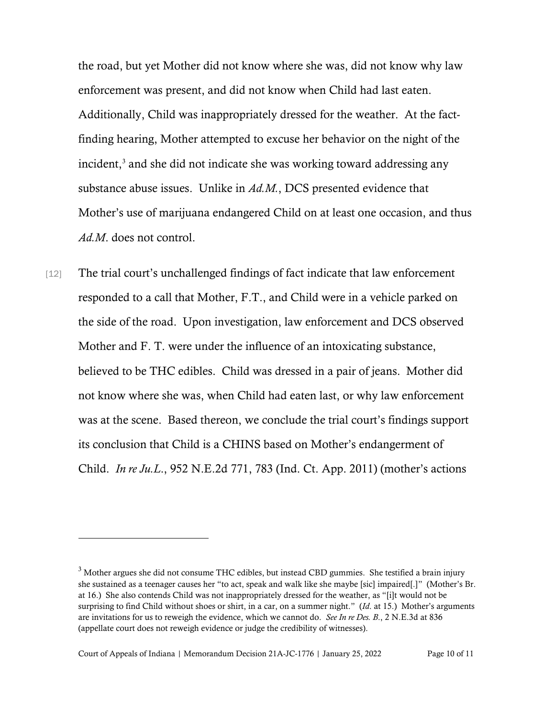the road, but yet Mother did not know where she was, did not know why law enforcement was present, and did not know when Child had last eaten. Additionally, Child was inappropriately dressed for the weather. At the factfinding hearing, Mother attempted to excuse her behavior on the night of the incident, [3](#page-9-0) and she did not indicate she was working toward addressing any substance abuse issues. Unlike in *Ad.M.*, DCS presented evidence that Mother's use of marijuana endangered Child on at least one occasion, and thus *Ad.M*. does not control.

[12] The trial court's unchallenged findings of fact indicate that law enforcement responded to a call that Mother, F.T., and Child were in a vehicle parked on the side of the road. Upon investigation, law enforcement and DCS observed Mother and F. T. were under the influence of an intoxicating substance, believed to be THC edibles. Child was dressed in a pair of jeans. Mother did not know where she was, when Child had eaten last, or why law enforcement was at the scene. Based thereon, we conclude the trial court's findings support its conclusion that Child is a CHINS based on Mother's endangerment of Child. *In re Ju.L*., 952 N.E.2d 771, 783 (Ind. Ct. App. 2011) (mother's actions

<span id="page-9-0"></span><sup>&</sup>lt;sup>3</sup> Mother argues she did not consume THC edibles, but instead CBD gummies. She testified a brain injury she sustained as a teenager causes her "to act, speak and walk like she maybe [sic] impaired[.]" (Mother's Br. at 16.) She also contends Child was not inappropriately dressed for the weather, as "[i]t would not be surprising to find Child without shoes or shirt, in a car, on a summer night." (*Id*. at 15.) Mother's arguments are invitations for us to reweigh the evidence, which we cannot do. *See In re Des. B*., 2 N.E.3d at 836 (appellate court does not reweigh evidence or judge the credibility of witnesses).